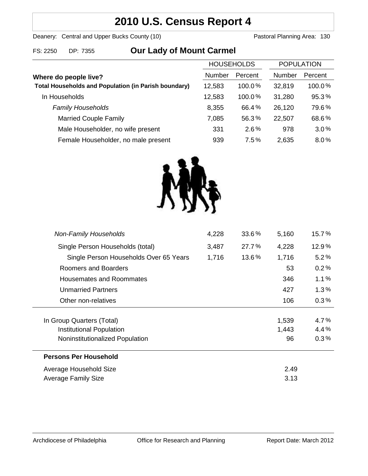## **2010 U.S. Census Report 4**

Deanery: Central and Upper Bucks County (10) Deanery: Central and Upper Bucks County (10)

# FS: 2250 DP: 7355 **Our Lady of Mount Carmel**

| <b>HOUSEHOLDS</b> |           | <b>POPULATION</b> |         |
|-------------------|-----------|-------------------|---------|
| Number            | Percent   | Number            | Percent |
| 12,583            | $100.0\%$ | 32,819            | 100.0%  |
| 12,583            | 100.0%    | 31,280            | 95.3%   |
| 8,355             | 66.4%     | 26,120            | 79.6%   |
| 7,085             | 56.3%     | 22,507            | 68.6%   |
| 331               | 2.6%      | 978               | 3.0%    |
| 939               | 7.5%      | 2,635             | 8.0%    |
|                   |           |                   |         |



| <b>Non-Family Households</b>           | 4,228 | 33.6% | 5,160 | 15.7%   |
|----------------------------------------|-------|-------|-------|---------|
| Single Person Households (total)       | 3,487 | 27.7% | 4,228 | 12.9%   |
| Single Person Households Over 65 Years | 1,716 | 13.6% | 1,716 | 5.2%    |
| Roomers and Boarders                   |       |       | 53    | 0.2%    |
| Housemates and Roommates               |       |       | 346   | 1.1%    |
| <b>Unmarried Partners</b>              |       |       | 427   | $1.3\%$ |
| Other non-relatives                    |       |       | 106   | 0.3%    |
| In Group Quarters (Total)              |       |       | 1,539 | 4.7%    |
| Institutional Population               |       |       | 1,443 | 4.4%    |
| Noninstitutionalized Population        |       |       | 96    | 0.3%    |
| <b>Persons Per Household</b>           |       |       |       |         |
| Average Household Size                 | 2.49  |       |       |         |
| <b>Average Family Size</b>             | 3.13  |       |       |         |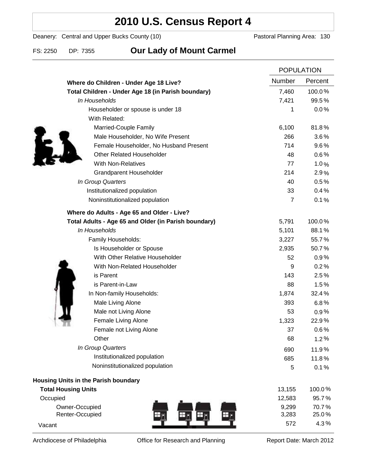### **2010 U.S. Census Report 4**

Deanery: Central and Upper Bucks County (10) Deanery: Central and Upper Bucks County (10)

### FS: 2250 DP: 7355 **Our Lady of Mount Carmel**

|                                                      |                | <b>POPULATION</b> |  |
|------------------------------------------------------|----------------|-------------------|--|
| Where do Children - Under Age 18 Live?               | Number         | Percent           |  |
| Total Children - Under Age 18 (in Parish boundary)   | 7,460          | 100.0%            |  |
| In Households                                        | 7,421          | 99.5%             |  |
| Householder or spouse is under 18                    | 1              | 0.0%              |  |
| With Related:                                        |                |                   |  |
| Married-Couple Family                                | 6,100          | 81.8%             |  |
| Male Householder, No Wife Present                    | 266            | $3.6\%$           |  |
| Female Householder, No Husband Present               | 714            | 9.6%              |  |
| <b>Other Related Householder</b>                     | 48             | 0.6%              |  |
| <b>With Non-Relatives</b>                            | 77             | 1.0%              |  |
| Grandparent Householder                              | 214            | 2.9%              |  |
| In Group Quarters                                    | 40             | 0.5%              |  |
| Institutionalized population                         | 33             | 0.4%              |  |
| Noninstitutionalized population                      | $\overline{7}$ | 0.1%              |  |
| Where do Adults - Age 65 and Older - Live?           |                |                   |  |
| Total Adults - Age 65 and Older (in Parish boundary) | 5,791          | 100.0%            |  |
| In Households                                        | 5,101          | 88.1%             |  |
| Family Households:                                   | 3,227          | 55.7%             |  |
| Is Householder or Spouse                             | 2,935          | 50.7%             |  |
| With Other Relative Householder                      | 52             | 0.9%              |  |
| With Non-Related Householder                         | 9              | 0.2%              |  |
| is Parent                                            | 143            | 2.5%              |  |
| is Parent-in-Law                                     | 88             | 1.5%              |  |
| In Non-family Households:                            | 1,874          | 32.4%             |  |
| Male Living Alone                                    | 393            | 6.8%              |  |
| Male not Living Alone                                | 53             | 0.9%              |  |
| Female Living Alone                                  | 1,323          | 22.9%             |  |
| Female not Living Alone                              | 37             | 0.6%              |  |
| Other                                                | 68             | 1.2%              |  |
| In Group Quarters                                    | 690            | 11.9%             |  |
| Institutionalized population                         | 685            | 11.8%             |  |
| Noninstitutionalized population                      | 5              | 0.1%              |  |
| Housing Units in the Parish boundary                 |                |                   |  |
| <b>Total Housing Units</b>                           | 13,155         | 100.0%            |  |
| Occupied                                             | 12,583         | 95.7%             |  |
| Owner-Occupied                                       | 9,299          | 70.7%             |  |
| Renter-Occupied                                      | 3,283          | 25.0%             |  |
| Vacant                                               | 572            | 4.3%              |  |

Archdiocese of Philadelphia **Office for Research and Planning** Report Date: March 2012